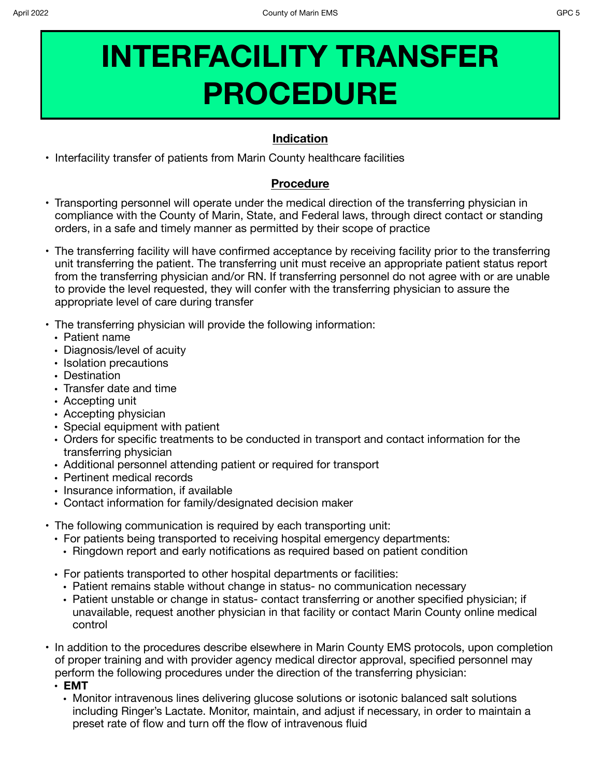# **INTERFACILITY TRANSFER PROCEDURE**

### **Indication**

**•** Interfacility transfer of patients from Marin County healthcare facilities

## **Procedure**

- **•** Transporting personnel will operate under the medical direction of the transferring physician in compliance with the County of Marin, State, and Federal laws, through direct contact or standing orders, in a safe and timely manner as permitted by their scope of practice
- **•** The transferring facility will have confirmed acceptance by receiving facility prior to the transferring unit transferring the patient. The transferring unit must receive an appropriate patient status report from the transferring physician and/or RN. If transferring personnel do not agree with or are unable to provide the level requested, they will confer with the transferring physician to assure the appropriate level of care during transfer
- **•** The transferring physician will provide the following information:
	- **•** Patient name
	- **•** Diagnosis/level of acuity
	- **•** Isolation precautions
	- **•** Destination
	- **•** Transfer date and time
	- **•** Accepting unit
	- **•** Accepting physician
	- **•** Special equipment with patient
	- **•** Orders for specific treatments to be conducted in transport and contact information for the transferring physician
	- **•** Additional personnel attending patient or required for transport
	- **•** Pertinent medical records
	- **•** Insurance information, if available
	- **•** Contact information for family/designated decision maker
- **•** The following communication is required by each transporting unit:
	- **•** For patients being transported to receiving hospital emergency departments:
	- **•** Ringdown report and early notifications as required based on patient condition
	- **•** For patients transported to other hospital departments or facilities:
		- **•** Patient remains stable without change in status- no communication necessary
		- **•** Patient unstable or change in status- contact transferring or another specified physician; if unavailable, request another physician in that facility or contact Marin County online medical control
- **•** In addition to the procedures describe elsewhere in Marin County EMS protocols, upon completion of proper training and with provider agency medical director approval, specified personnel may perform the following procedures under the direction of the transferring physician:
	- **• EMT** 
		- Monitor intravenous lines delivering glucose solutions or isotonic balanced salt solutions including Ringer's Lactate. Monitor, maintain, and adjust if necessary, in order to maintain a preset rate of flow and turn off the flow of intravenous fluid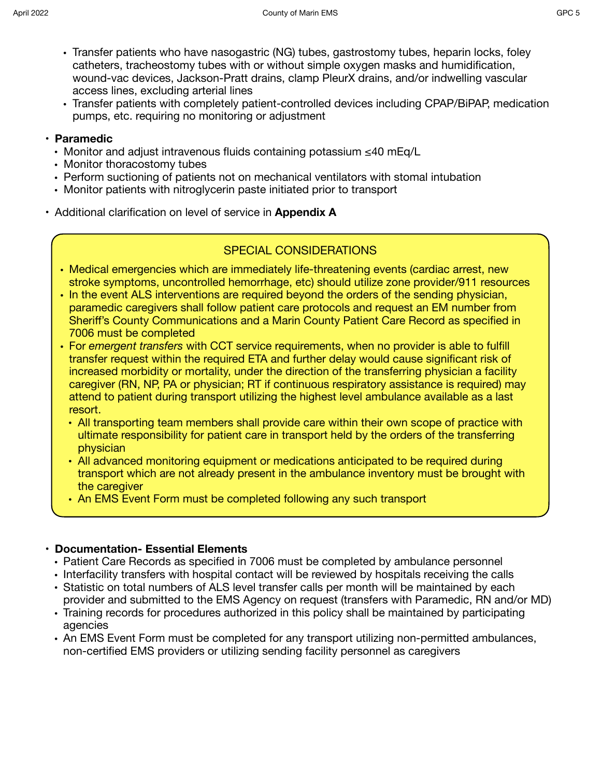- Transfer patients who have nasogastric (NG) tubes, gastrostomy tubes, heparin locks, foley catheters, tracheostomy tubes with or without simple oxygen masks and humidification, wound-vac devices, Jackson-Pratt drains, clamp PleurX drains, and/or indwelling vascular access lines, excluding arterial lines
- Transfer patients with completely patient-controlled devices including CPAP/BiPAP, medication pumps, etc. requiring no monitoring or adjustment

#### **• Paramedic**

- **•** Monitor and adjust intravenous fluids containing potassium ≤40 mEq/L
- **•** Monitor thoracostomy tubes
- **•** Perform suctioning of patients not on mechanical ventilators with stomal intubation
- **•** Monitor patients with nitroglycerin paste initiated prior to transport
- **•** Additional clarification on level of service in **Appendix A**

#### SPECIAL CONSIDERATIONS

- **•** Medical emergencies which are immediately life-threatening events (cardiac arrest, new stroke symptoms, uncontrolled hemorrhage, etc) should utilize zone provider/911 resources
- **•** In the event ALS interventions are required beyond the orders of the sending physician, paramedic caregivers shall follow patient care protocols and request an EM number from Sheriff's County Communications and a Marin County Patient Care Record as specified in 7006 must be completed
- **•** For *emergent transfers* with CCT service requirements, when no provider is able to fulfill transfer request within the required ETA and further delay would cause significant risk of increased morbidity or mortality, under the direction of the transferring physician a facility caregiver (RN, NP, PA or physician; RT if continuous respiratory assistance is required) may attend to patient during transport utilizing the highest level ambulance available as a last resort.
	- **•** All transporting team members shall provide care within their own scope of practice with ultimate responsibility for patient care in transport held by the orders of the transferring physician
	- **•** All advanced monitoring equipment or medications anticipated to be required during transport which are not already present in the ambulance inventory must be brought with the caregiver
	- **•** An EMS Event Form must be completed following any such transport

#### **• Documentation- Essential Elements**

- Patient Care Records as specified in 7006 must be completed by ambulance personnel
- Interfacility transfers with hospital contact will be reviewed by hospitals receiving the calls
- Statistic on total numbers of ALS level transfer calls per month will be maintained by each provider and submitted to the EMS Agency on request (transfers with Paramedic, RN and/or MD)
- Training records for procedures authorized in this policy shall be maintained by participating agencies
- An EMS Event Form must be completed for any transport utilizing non-permitted ambulances, non-certified EMS providers or utilizing sending facility personnel as caregivers